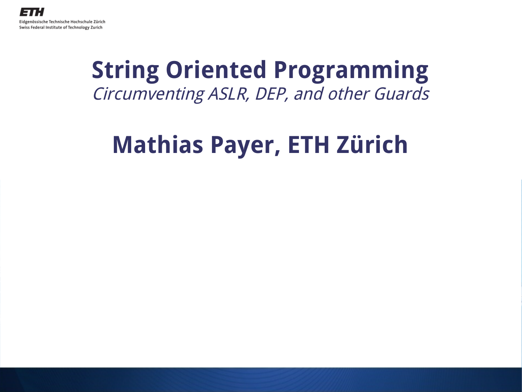

### **String Oriented Programming** Circumventing ASLR, DEP, and other Guards

### **Mathias Payer, ETH Zürich**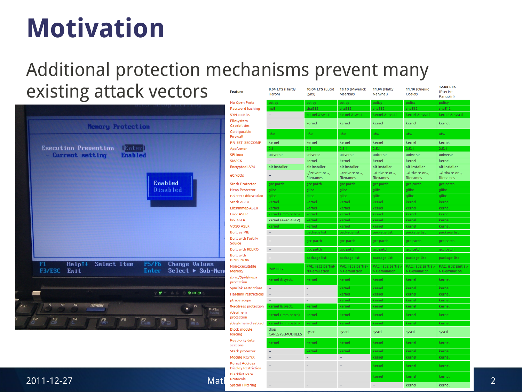### **Motivation**

#### Additional protection mechanisms prevent many existing attack vectors feature

|     |                                                                                                                                        | No Open Ports                        | policy             | policy                                          | policy                                          | policy                                                                                                                                                              |
|-----|----------------------------------------------------------------------------------------------------------------------------------------|--------------------------------------|--------------------|-------------------------------------------------|-------------------------------------------------|---------------------------------------------------------------------------------------------------------------------------------------------------------------------|
|     |                                                                                                                                        | Password hashing                     | md5                | sha512                                          | sha512                                          | sha512                                                                                                                                                              |
|     |                                                                                                                                        | <b>SYN</b> cookies                   |                    | kernel & sysctl                                 | kernel & sysctl                                 | kernel &                                                                                                                                                            |
|     | <b>Memory Protection</b>                                                                                                               | Filesystem<br>Capabilities           |                    | kernel                                          | kernel                                          | kernel                                                                                                                                                              |
|     |                                                                                                                                        | Configurable<br>Firewall             | ufw                | ufw.                                            | ufw.                                            | ufw.                                                                                                                                                                |
|     |                                                                                                                                        | PR_SET_SECCOMP                       | kernel             | kernel                                          | kernel                                          | kernel<br>2.5.1<br>kernel<br>glibc<br>glibc<br>kernel<br>kernel<br>kernel<br>kernel<br>kernel<br>kernel<br>kernel<br>kernel<br>kernel<br>kernel<br>kernel<br>kernel |
|     | <b>Execution Prevention</b><br><b>TEnterl</b>                                                                                          | AppArmor                             | 2.1                | $2.5 -$                                         | 2.5.1                                           |                                                                                                                                                                     |
|     | - Current setting<br><b>Enabled</b>                                                                                                    | <b>SELinux</b>                       | universe           | universe                                        | universe                                        | universe                                                                                                                                                            |
|     |                                                                                                                                        | <b>SMACK</b>                         |                    | kernel                                          | kernel                                          |                                                                                                                                                                     |
|     |                                                                                                                                        | <b>Encrypted LVM</b>                 | alt installer      | alt installer                                   | alt installer                                   | alt install                                                                                                                                                         |
|     |                                                                                                                                        | eCryptfs                             |                    | $\sim$ /Private or $\sim$ ,<br><b>filenames</b> | $\sim$ /Private or $\sim$ ,<br><b>filenames</b> | $\sim$ /Private<br><b>filenames</b>                                                                                                                                 |
|     | <b>Enabled</b>                                                                                                                         | <b>Stack Protector</b>               | gcc patch          | gcc patch                                       | gcc patch                                       | gcc patch                                                                                                                                                           |
|     | Disabled                                                                                                                               | <b>Heap Protector</b>                | glibc              | glibc                                           | glibc                                           |                                                                                                                                                                     |
|     |                                                                                                                                        | <b>Pointer Obfuscation</b>           | glibc              | glibc                                           | glibc                                           |                                                                                                                                                                     |
|     |                                                                                                                                        | <b>Stack ASLR</b>                    | kernel             | kernel                                          | kernel                                          |                                                                                                                                                                     |
|     |                                                                                                                                        | Libs/mmap ASLR                       | kernel             | kernel                                          | kernel                                          |                                                                                                                                                                     |
|     |                                                                                                                                        | <b>Exec ASLR</b>                     | kernel (-mm patch) | kernel                                          | kernel                                          |                                                                                                                                                                     |
|     |                                                                                                                                        | brk ASLR                             | kernel (exec ASLR) | kernel                                          | kernel                                          |                                                                                                                                                                     |
|     |                                                                                                                                        | <b>VDSO ASLR</b>                     | kernel             | kernel                                          | kernel                                          | package                                                                                                                                                             |
|     |                                                                                                                                        | <b>Built as PIE</b>                  |                    | package list                                    | package list                                    |                                                                                                                                                                     |
|     |                                                                                                                                        | <b>Built with Fortify</b><br>Source  |                    | gcc patch                                       | gcc patch                                       | gcc patch                                                                                                                                                           |
|     |                                                                                                                                        | <b>Built with RELRO</b>              |                    | gcc patch                                       | gcc patch                                       | gcc patch                                                                                                                                                           |
|     |                                                                                                                                        | <b>Built with</b><br><b>BIND NOW</b> |                    | package list                                    | package list                                    | package                                                                                                                                                             |
|     | <b>F5/F6</b><br><b>Change Values</b><br>Helptt<br>Select Item<br>F1<br>F3/ESC<br>Select $\blacktriangleright$ Sub-Men<br>Exit<br>Enter | Non-Executable<br>Memory             | PAE only           | PAE, ia32 partial-<br>NX-emulation              | PAE, ia32 partial-<br>NX-emulation              | PAE, ia32<br>NX-emula                                                                                                                                               |
|     |                                                                                                                                        | /proc/\$pid/maps<br>protection       | kernel & sysctl    | kernel                                          | kernel                                          |                                                                                                                                                                     |
|     |                                                                                                                                        | Symlink restrictions                 |                    | $\overline{\phantom{a}}$                        | kernel                                          |                                                                                                                                                                     |
|     | WOFT AA BODD                                                                                                                           | <b>Hardlink restrictions</b>         |                    | $\frac{1}{2}$                                   | kernel                                          |                                                                                                                                                                     |
|     |                                                                                                                                        | ptrace scope                         |                    | ÷                                               | kernel                                          |                                                                                                                                                                     |
| Esc | d <b>r</b><br>d<br><b>ThinkVantage</b><br>Ø<br>$\bullet$<br>PrtSc                                                                      | 0-address protection                 | kernel & sysctl    | kernel                                          | kernel                                          |                                                                                                                                                                     |
|     | F2<br>F3<br>F <sub>4</sub><br>F <sub>6</sub><br>F9<br><b>F10</b>                                                                       | /dev/mem<br>protection               | kernel (-mm patch) | kernel                                          | kernel                                          |                                                                                                                                                                     |
|     | $\frac{F5}{F}$<br>$F_8$<br>$E$ <sup>7</sup><br>$F \rightarrow b$<br>ĸ.<br>四三                                                           | /dev/kmem disabled                   | kernel (-mm patch) | kernel                                          | kernel                                          |                                                                                                                                                                     |
|     |                                                                                                                                        | in the sale and satisfied            |                    |                                                 |                                                 |                                                                                                                                                                     |

| existing attack vectors                                                                                                        | feature                                             | 8.04 LTS (Hardy<br>Heron) | <b>10.04 LTS (Lucid</b><br>Lynx)                | 10.10 (Maverick<br>Meerkat)              | <b>11.04 (Natty</b><br>Narwhal)          | <b>11.10 (Oneiric</b><br>Ocelot)         | 12.04 LTS<br>(Precise<br>Pangolin)       |
|--------------------------------------------------------------------------------------------------------------------------------|-----------------------------------------------------|---------------------------|-------------------------------------------------|------------------------------------------|------------------------------------------|------------------------------------------|------------------------------------------|
|                                                                                                                                | No Open Ports                                       | policy                    | policy                                          | policy                                   | policy                                   | policy                                   | policy                                   |
|                                                                                                                                | Password hashing                                    | md5.                      | sha 512                                         | sha512                                   | sha512                                   | sha512                                   | sha512                                   |
|                                                                                                                                | <b>SYN</b> cookies                                  | ÷                         | kernel & sysctl                                 | kernel & sysctl                          | kernel & sysctl                          | kernel & sysctl                          | kernel & sysctl                          |
| <b>Memory Protection</b>                                                                                                       | Filesystem<br>Capabilities                          |                           | kernel                                          | kernel                                   | kernel                                   | kernel                                   | kernel                                   |
|                                                                                                                                | Configurable<br>Firewall                            | ifw.                      | ufw                                             | ufw                                      | ufw                                      | ufw.                                     | ufw                                      |
|                                                                                                                                | PR_SET_SECCOMP                                      | kernel                    | kernel                                          | kernel                                   | kernel                                   | kernel                                   | kernel                                   |
| <b>Execution Prevention</b><br><b>I</b> nterl<br>- Current setting<br><b>Enabled</b>                                           | AppArmor                                            | $\blacksquare$            | $2.5^{\circ}$                                   | 2.5.1                                    | 2.5.1                                    | 2.5.1                                    | 2.5.1                                    |
|                                                                                                                                | <b>SELinux</b>                                      | universe                  | universe                                        | universe                                 | universe                                 | universe                                 | universe                                 |
|                                                                                                                                | <b>SMACK</b>                                        |                           | kernel                                          | kernel                                   | kernel                                   | kernel                                   | kernel                                   |
|                                                                                                                                | <b>Encrypted LVM</b>                                | alt installer             | alt installer                                   | alt installer                            | alt installer                            | alt installer                            | alt installer                            |
|                                                                                                                                | eCryptfs                                            |                           | $\sim$ /Private or $\sim$ ,<br><b>filenames</b> | $\sim$ /Private or $\sim$ ,<br>filenames | $\sim$ /Private or $\sim$ ,<br>filenames | $\sim$ /Private or $\sim$ ,<br>filenames | $\sim$ /Private or $\sim$ ,<br>filenames |
| Enabled                                                                                                                        | <b>Stack Protector</b>                              | gcc patch                 | gcc patch                                       | gcc patch                                | gcc patch                                | gcc patch                                | gcc patch                                |
| Disabled                                                                                                                       | <b>Heap Protector</b>                               | glibc                     | glibc                                           | glibc                                    | glibc.                                   | glibc                                    | glibc                                    |
|                                                                                                                                | <b>Pointer Obfuscation</b>                          | alibc                     | glibc                                           | glibc                                    | glibc.                                   | glibci                                   | glibc                                    |
|                                                                                                                                | <b>Stack ASLR</b>                                   | kernel                    | kernel                                          | kernel                                   | kernel                                   | kernel                                   | kernel                                   |
|                                                                                                                                | Libs/mmap ASLR                                      | kernel                    | kernel                                          | kernel                                   | kernel                                   | kernel                                   | kernel                                   |
|                                                                                                                                | <b>Exec ASLR</b>                                    | kernel (-mm patch         | kernel                                          | kernel                                   | kernel                                   | kernel                                   | kernel                                   |
|                                                                                                                                | brk ASLR                                            | kernel (exec ASLR)        | kernel                                          | kernel                                   | kernel                                   | kernel                                   | kernel                                   |
|                                                                                                                                | <b>VDSO ASLR</b>                                    | kernel                    | kernel                                          | kernel                                   | kernel                                   | kernel                                   | kernel                                   |
|                                                                                                                                | <b>Built as PIE</b>                                 |                           | package list                                    | package list                             | package list                             | package list                             | package list                             |
|                                                                                                                                | <b>Built with Fortify</b><br>Source                 |                           | gcc patch                                       | gcc patch                                | gcc patch                                | gcc patch                                | gcc patch                                |
|                                                                                                                                | <b>Built with RELRO</b>                             |                           | gcc patch                                       | gcc patch                                | gcc patch                                | gcc patch                                | gcc patch                                |
|                                                                                                                                | <b>Built with</b><br><b>BIND_NOW</b>                |                           | package list                                    | package list                             | package list                             | package list                             | package list                             |
| Select Item<br><b>Change Values</b><br>Helptt<br><b>F5/F6</b><br>F1<br>F3/ESC<br>Exit<br>Enter<br>$Select \rightarrow Sub-Men$ | Non-Executable<br>Memory                            | PAE only                  | PAE, ia32 partial-<br>NX-emulation              | PAE, ia32 partia<br>NX-emulation         | PAE, ia32 partial-<br>NX-emulation       | PAE, ia32 partial-<br>NX-emulation       | PAE, ia32 partial<br>NX-emulation        |
|                                                                                                                                | /proc/\$pid/maps<br>protection                      | cernel & sysctl           | kernel                                          | kernel                                   | kernel                                   | kernel                                   | kernel                                   |
|                                                                                                                                | Symlink restrictions                                |                           | $\overline{\phantom{a}}$                        | kernel                                   | kernel                                   | kernel                                   | kernel                                   |
| $\mathbf{C} \subset \mathbf{C}$                                                                                                | <b>Hardlink restrictions</b>                        |                           | $\overline{\phantom{a}}$                        | kernel                                   | kernel                                   | kernel                                   | kernel                                   |
|                                                                                                                                | ptrace scope                                        |                           | ÷                                               | kernel                                   | kernel                                   | kernel                                   | kernel                                   |
| $\frac{M}{2}$<br>d <b>r</b><br>$d\vec{l}$<br><b>ThinkVantage</b><br>৩<br>$\bullet$<br>PrtSc                                    | 0-address protection                                | kernel & sysctl           | kernel                                          | kernel                                   | kernel                                   | kernel                                   | kernel                                   |
| F4<br>F <sub>6</sub><br><b>F10</b>                                                                                             | /dev/mem<br>protection                              | kernel (-mm patch)        | kernel                                          | kernel                                   | kernel                                   | kernel                                   | kernel                                   |
| $\mathcal{E}^2$<br>$\overline{F_3}$<br>F5<br>$E_{\text{min}}$<br>F8<br>F9                                                      | /dev/kmem disabled                                  | kernel (-mm patch)        | kernel                                          | kernel                                   | kernel                                   | kernel                                   | kernel                                   |
|                                                                                                                                | <b>Block module</b><br>loading                      | drop.<br>CAP_SYS_MODULES  | sysctl                                          | sysctl                                   | sysctl                                   | sysctl                                   | sysctl                                   |
|                                                                                                                                | Read-only data<br>sections                          | kernel                    | kernel                                          | kernel                                   | kernel                                   | kernel                                   | kernel                                   |
|                                                                                                                                | Stack protector                                     |                           | kernel                                          | kernel                                   | kernel                                   | kernel                                   | kernel                                   |
|                                                                                                                                | Module RO/NX                                        |                           | $\overline{\phantom{a}}$                        | $\overline{\phantom{a}}$                 | kernel                                   | kernel                                   | kernel                                   |
|                                                                                                                                | <b>Kernel Address</b><br><b>Display Restriction</b> |                           |                                                 |                                          | kernel                                   | kernel                                   | kernel                                   |
| 2011-12-27<br>Mat                                                                                                              | <b>Blacklist Rare</b><br>Protocols                  |                           |                                                 |                                          | kernel                                   | kernel                                   | kernel                                   |
|                                                                                                                                | <b>Syscall Filtering</b>                            |                           |                                                 |                                          |                                          | kernel                                   | kernel                                   |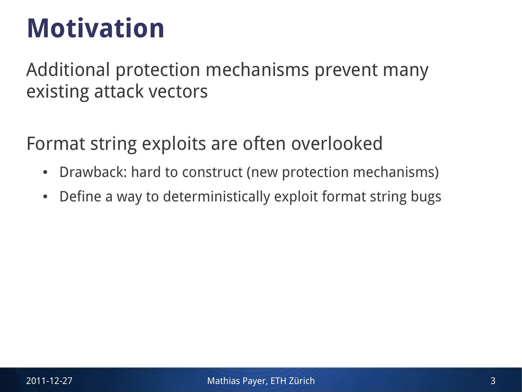### **Motivation**

Additional protection mechanisms prevent many existing attack vectors

Format string exploits are often overlooked

- Drawback: hard to construct (new protection mechanisms)
- Define a way to deterministically exploit format string bugs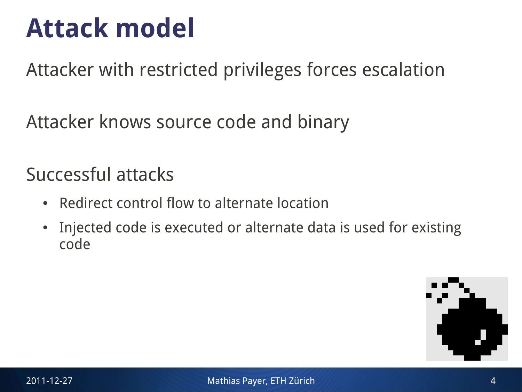### **Attack model**

Attacker with restricted privileges forces escalation

Attacker knows source code and binary

Successful attacks

- Redirect control flow to alternate location
- Injected code is executed or alternate data is used for existing code

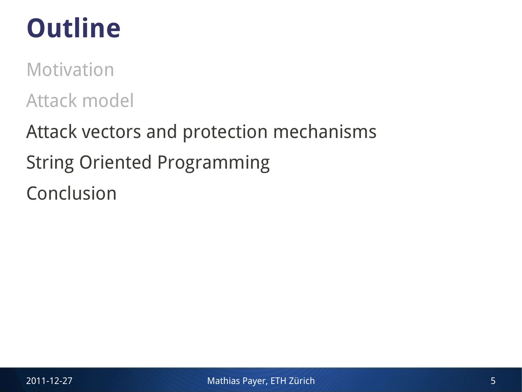# **Outline**

Motivation

Attack model

Attack vectors and protection mechanisms String Oriented Programming Conclusion

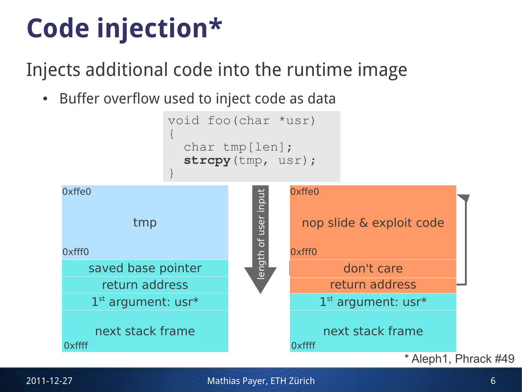# **Code injection\***

Injects additional code into the runtime image

• Buffer overflow used to inject code as data

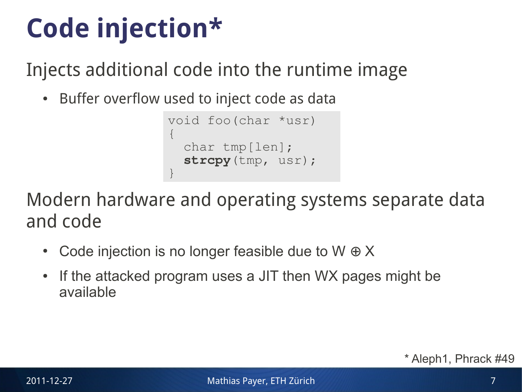# **Code injection\***

Injects additional code into the runtime image

• Buffer overflow used to inject code as data

```
void foo(char *usr)
{
   char tmp[len];
   strcpy(tmp, usr);
}
```
Modern hardware and operating systems separate data and code

- Code injection is no longer feasible due to  $W \oplus X$
- If the attacked program uses a JIT then WX pages might be available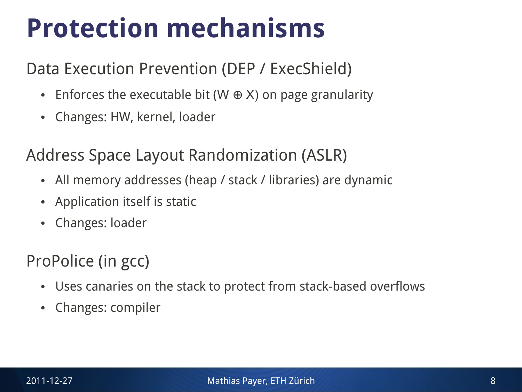### **Protection mechanisms**

### Data Execution Prevention (DEP / ExecShield)

- Enforces the executable bit (W  $\oplus$  X) on page granularity
- Changes: HW, kernel, loader

#### Address Space Layout Randomization (ASLR)

- All memory addresses (heap / stack / libraries) are dynamic
- Application itself is static
- Changes: loader

### ProPolice (in gcc)

- Uses canaries on the stack to protect from stack-based overflows
- Changes: compiler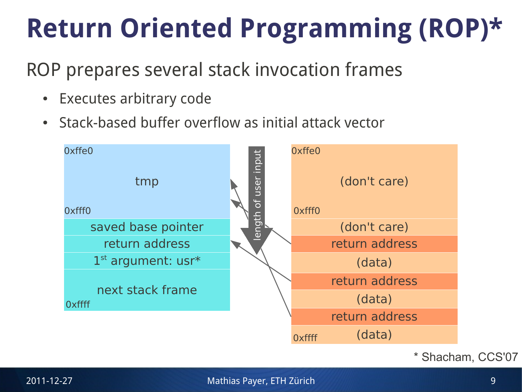# **Return Oriented Programming (ROP)\***

### ROP prepares several stack invocation frames

- Executes arbitrary code
- Stack-based buffer overflow as initial attack vector



\* Shacham, CCS'07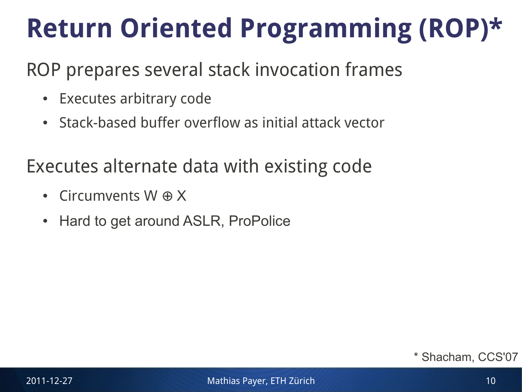# **Return Oriented Programming (ROP)\***

### ROP prepares several stack invocation frames

- Executes arbitrary code
- Stack-based buffer overflow as initial attack vector

### Executes alternate data with existing code

- Circumvents W  $\oplus$  X
- Hard to get around ASLR, ProPolice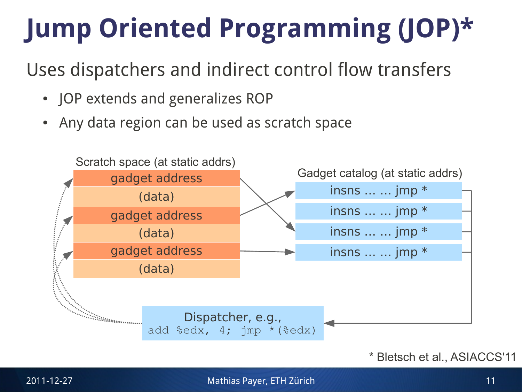# **Jump Oriented Programming (JOP)\***

Uses dispatchers and indirect control flow transfers

- JOP extends and generalizes ROP
- Any data region can be used as scratch space

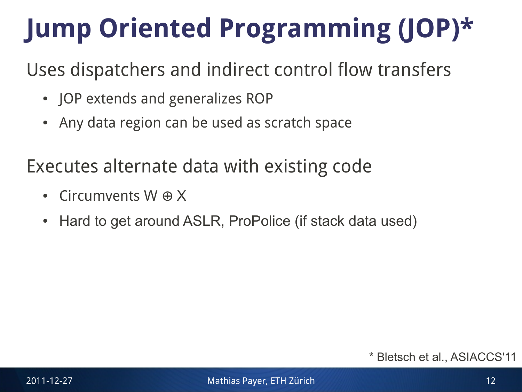# **Jump Oriented Programming (JOP)\***

Uses dispatchers and indirect control flow transfers

- JOP extends and generalizes ROP
- Any data region can be used as scratch space

### Executes alternate data with existing code

- Circumvents W  $\oplus$  X
- Hard to get around ASLR, ProPolice (if stack data used)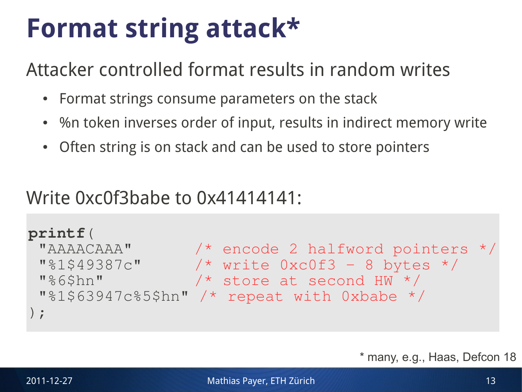### **Format string attack\***

Attacker controlled format results in random writes

- Format strings consume parameters on the stack
- %n token inverses order of input, results in indirect memory write
- Often string is on stack and can be used to store pointers

### Write 0xc0f3babe to 0x41414141:

```
● printf("AAAACAAA%1$49387c%6$hn%1$63947c%5$hn");
M\1$49387c" /* write 0xc0f3 – 8 bytes */
 "%1$63947c%5$hn" /* repeat with 0xbabe */
 ● Prepare/inject malicious data
printf(
 "AAAACAAA" /* encode 2 halfword pointers */
 "%6$hn" /* store at second HW */
);
```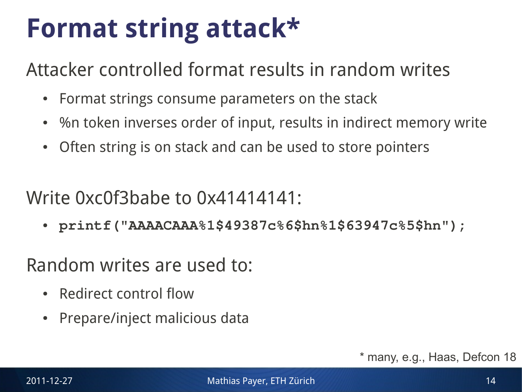### **Format string attack\***

Attacker controlled format results in random writes

- Format strings consume parameters on the stack
- %n token inverses order of input, results in indirect memory write
- Often string is on stack and can be used to store pointers

### Write 0xc0f3babe to 0x41414141:

● **printf("AAAACAAA%1\$49387c%6\$hn%1\$63947c%5\$hn");**

Random writes are used to:

- Redirect control flow
- **Prepare/inject malicious data**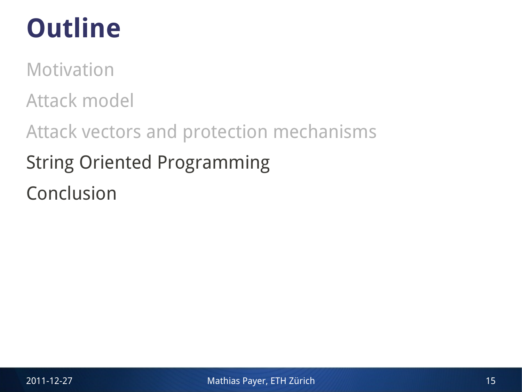# **Outline**

Motivation

Attack model

Attack vectors and protection mechanisms String Oriented Programming Conclusion

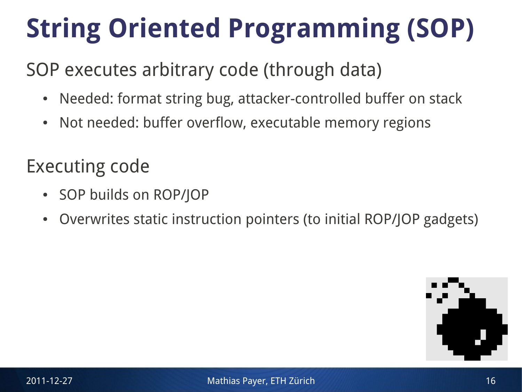# **String Oriented Programming (SOP)**

### SOP executes arbitrary code (through data)

- Needed: format string bug, attacker-controlled buffer on stack
- Not needed: buffer overflow, executable memory regions

### Executing code

- SOP builds on ROP/JOP
- Overwrites static instruction pointers (to initial ROP/JOP gadgets)

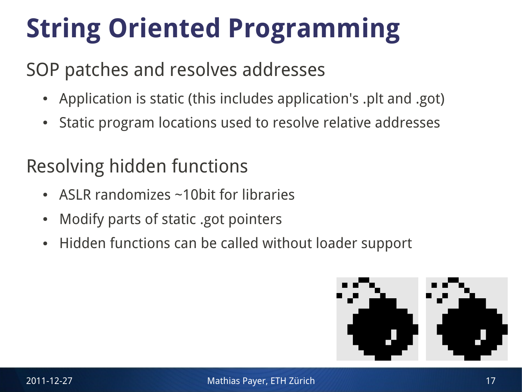# **String Oriented Programming**

### SOP patches and resolves addresses

- Application is static (this includes application's .plt and .got)
- Static program locations used to resolve relative addresses

### Resolving hidden functions

- ASLR randomizes  $\sim$ 10bit for libraries
- Modify parts of static .got pointers
- Hidden functions can be called without loader support

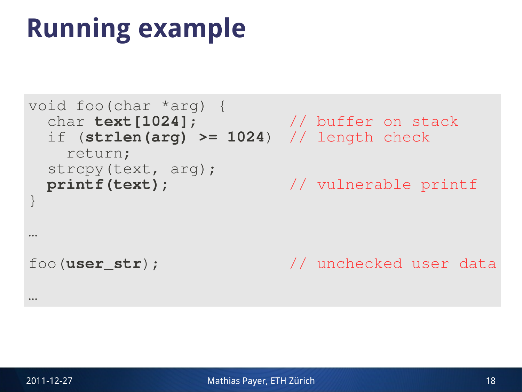### **Running example**

```
void foo(char *arg) {
  char text[1024]; // buffer on stack
  if (strlen(arg) >= 1024) // length check
    return;
  strcpy(text, arg);
  printf(text); // vulnerable printf
}
…
foo(user_str); // unchecked user data
…
```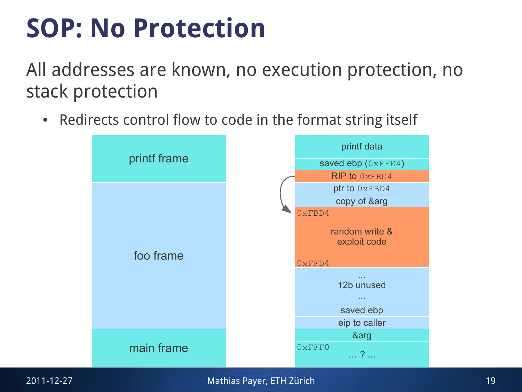### **SOP: No Protection**

All addresses are known, no execution protection, no stack protection

• Redirects control flow to code in the format string itself

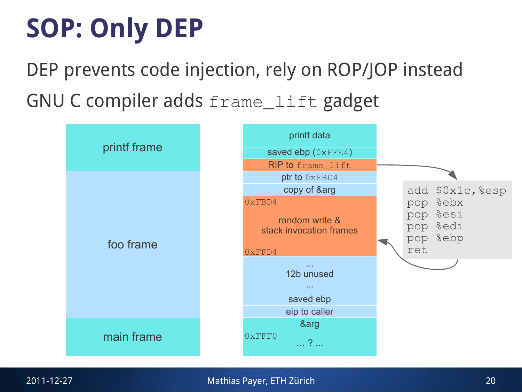# **SOP: Only DEP**

DEP prevents code injection, rely on ROP/JOP instead GNU C compiler adds frame\_lift gadget

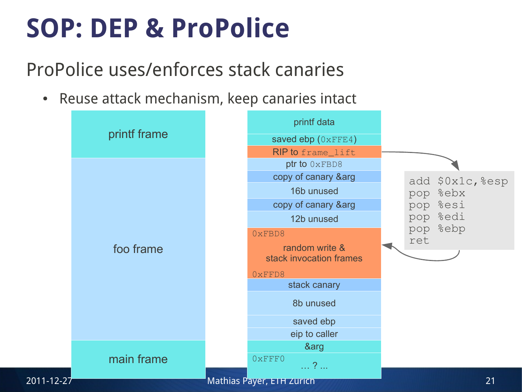### **SOP: DEP & ProPolice**

### ProPolice uses/enforces stack canaries

• Reuse attack mechanism, keep canaries intact

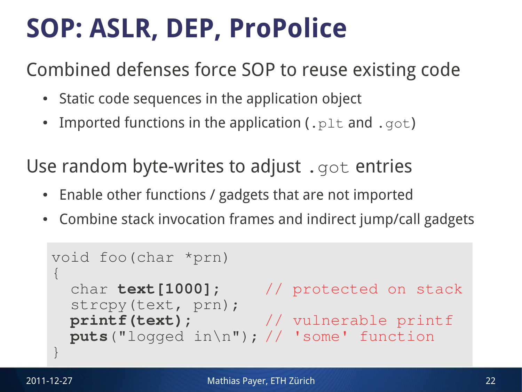# **SOP: ASLR, DEP, ProPolice**

Combined defenses force SOP to reuse existing code

- Static code sequences in the application object
- Imported functions in the application (.  $p1t$  and .  $qot$ )

Use random byte-writes to adjust . got entries

- Enable other functions / gadgets that are not imported
- Combine stack invocation frames and indirect jump/call gadgets

```
void foo(char *prn)
\{ char text[1000]; // protected on stack
   strcpy(text, prn);
   printf(text); // vulnerable printf
  puts("logged in\n"); // 'some' function
}
```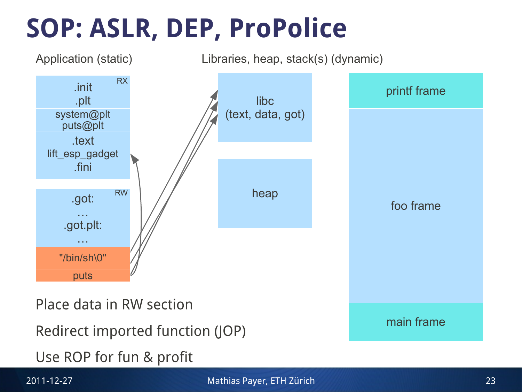# **SOP: ASLR, DEP, ProPolice**

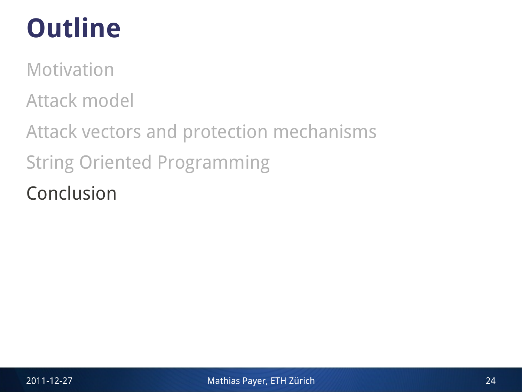# **Outline**

Motivation

Attack model

Attack vectors and protection mechanisms String Oriented Programming Conclusion

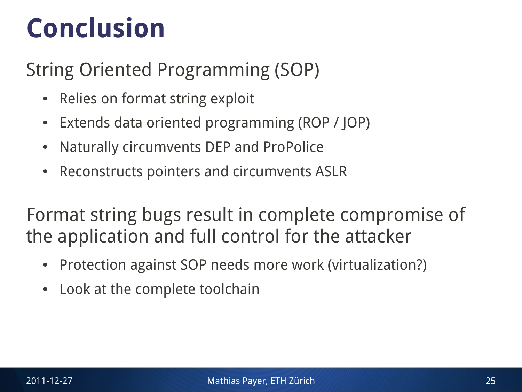### **Conclusion**

### String Oriented Programming (SOP)

- Relies on format string exploit
- Extends data oriented programming (ROP / JOP)
- Naturally circumvents DEP and ProPolice
- Reconstructs pointers and circumvents ASLR

Format string bugs result in complete compromise of the application and full control for the attacker

- Protection against SOP needs more work (virtualization?)
- Look at the complete toolchain